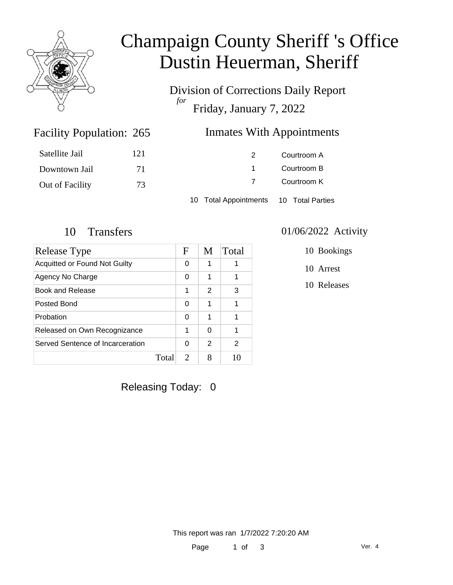

# Champaign County Sheriff 's Office Dustin Heuerman, Sheriff

Division of Corrections Daily Report *for* Friday, January 7, 2022

### Inmates With Appointments

| Satellite Jail  | 121 | 2                                      | Courtroom A |  |
|-----------------|-----|----------------------------------------|-------------|--|
| Downtown Jail   | 71  |                                        | Courtroom B |  |
| Out of Facility | 73  | 7                                      | Courtroom K |  |
|                 |     | 10 Total Appointments 10 Total Parties |             |  |

Facility Population: 265

| Release Type                         |       | $\mathbf F$                 | M | Total |
|--------------------------------------|-------|-----------------------------|---|-------|
| <b>Acquitted or Found Not Guilty</b> |       | 0                           | 1 |       |
| Agency No Charge                     |       | 0                           | 1 |       |
| Book and Release                     |       | 1                           | 2 | 3     |
| Posted Bond                          |       | 0                           | 1 |       |
| Probation                            |       | 0                           | 1 |       |
| Released on Own Recognizance         |       | 1                           | 0 | 1     |
| Served Sentence of Incarceration     |       | 0                           | 2 | 2     |
|                                      | Total | $\mathcal{D}_{\mathcal{L}}$ | 8 |       |

#### 10 Transfers 01/06/2022 Activity

10 Bookings

10 Arrest

10 Releases

Releasing Today: 0

This report was ran 1/7/2022 7:20:20 AM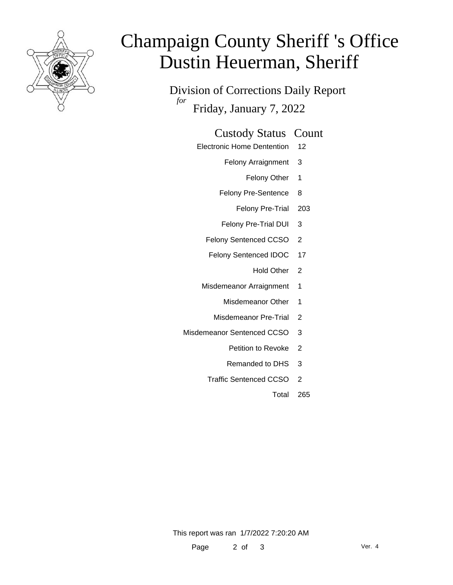

# Champaign County Sheriff 's Office Dustin Heuerman, Sheriff

Division of Corrections Daily Report *for* Friday, January 7, 2022

#### Custody Status Count

- Electronic Home Dentention 12
	- Felony Arraignment 3
		- Felony Other 1
	- Felony Pre-Sentence 8
		- Felony Pre-Trial 203
	- Felony Pre-Trial DUI 3
	- Felony Sentenced CCSO 2
	- Felony Sentenced IDOC 17
		- Hold Other 2
	- Misdemeanor Arraignment 1
		- Misdemeanor Other 1
		- Misdemeanor Pre-Trial 2
- Misdemeanor Sentenced CCSO 3
	- Petition to Revoke 2
	- Remanded to DHS 3
	- Traffic Sentenced CCSO 2
		- Total 265

This report was ran 1/7/2022 7:20:20 AM